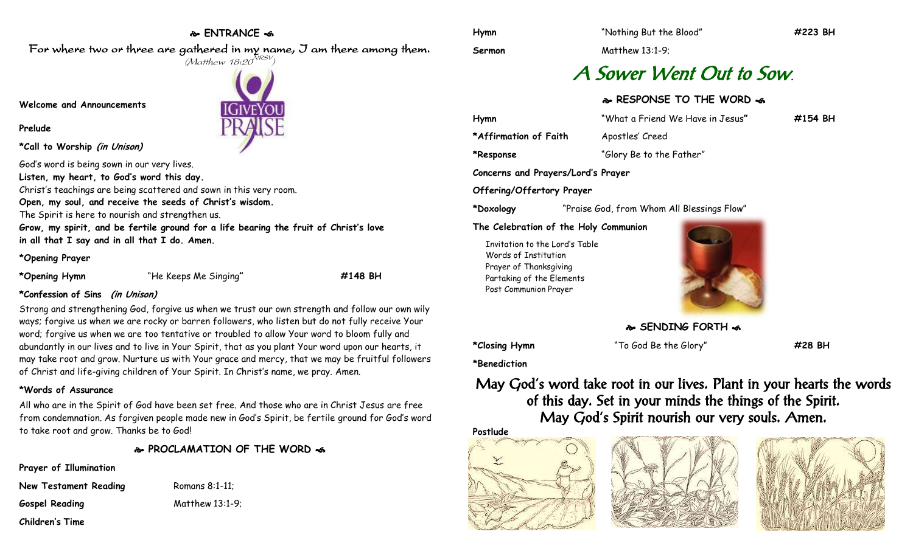#### **ENTRANCE**

For where two or three are gathered in my name, I am there among them.  $(M$ atthew 18:20 $^{NRSV})$ 

**IGIVEYOI** 

**Sermon** Matthew 13:1-9;

## A Sower Went Out to Sow**.**

#### **RESPONSE TO THE WORD**

| Hymn                  | "What a Friend We Have in Jesus" | $\#154$ BH |
|-----------------------|----------------------------------|------------|
| *Affirmation of Faith | Apostles' Creed                  |            |
| *Response             | "Glory Be to the Father"         |            |

**Concerns and Prayers/Lord's Prayer**

**Offering/Offertory Prayer**

**\*Doxology** "Praise God, from Whom All Blessings Flow"

#### **The Celebration of the Holy Communion**

Invitation to the Lord's Table Words of Institution Prayer of Thanksgiving Partaking of the Elements Post Communion Prayer



**SENDING FORTH of** 

**\*Closing Hymn** "To God Be the Glory" **#28 BH**

**\*Benediction**

### May God's word take root in our lives. Plant in your hearts the words of this day. Set in your minds the things of the Spirit. May God's Spirit nourish our very souls. Amen.









**Welcome and Announcements**

#### **Prelude**

**\*Call to Worship (in Unison)**

God's word is being sown in our very lives.

**Listen, my heart, to God's word this day.**

Christ's teachings are being scattered and sown in this very room.

**Open, my soul, and receive the seeds of Christ's wisdom.**

The Spirit is here to nourish and strengthen us.

**Grow, my spirit, and be fertile ground for a life bearing the fruit of Christ's love in all that I say and in all that I do. Amen.**

#### **\*Opening Prayer**

**\*Opening Hymn** "He Keeps Me Singing**" #148 BH**

**\*Confession of Sins (in Unison)**

Strong and strengthening God, forgive us when we trust our own strength and follow our own wily ways; forgive us when we are rocky or barren followers, who listen but do not fully receive Your word; forgive us when we are too tentative or troubled to allow Your word to bloom fully and abundantly in our lives and to live in Your Spirit, that as you plant Your word upon our hearts, it may take root and grow. Nurture us with Your grace and mercy, that we may be fruitful followers of Christ and life-giving children of Your Spirit. In Christ's name, we pray. Amen.

#### **\*Words of Assurance**

All who are in the Spirit of God have been set free. And those who are in Christ Jesus are free from condemnation. As forgiven people made new in God's Spirit, be fertile ground for God's word to take root and grow. Thanks be to God!

**PROCLAMATION OF THE WORD** 

**Prayer of Illumination**

**New Testament Reading Romans 8:1-11; Gospel Reading** Matthew 13:1-9;

**Children's Time**